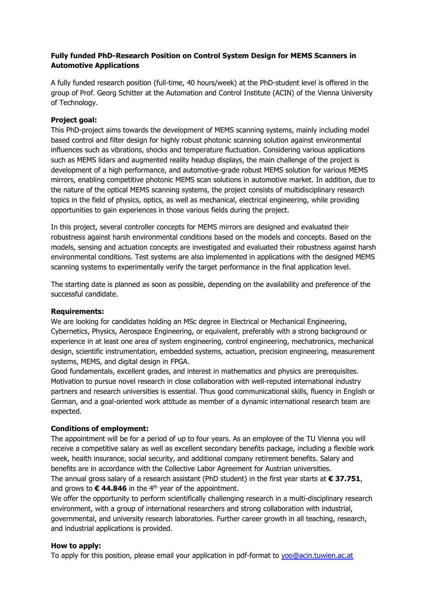# **Fully funded PhD-Research Position on Control System Design for MEMS Scanners in Automotive Applications**

A fully funded research position (full-time, 40 hours/week) at the PhD-student level is offered in the group of Prof. Georg Schitter at the Automation and Control Institute (ACIN) of the Vienna University of Technology.

# **Project goal:**

This PhD-project aims towards the development of MEMS scanning systems, mainly including model based control and filter design for highly robust photonic scanning solution against environmental influences such as vibrations, shocks and temperature fluctuation. Considering various applications such as MEMS lidars and augmented reality headup displays, the main challenge of the project is development of a high performance, and automotive-grade robust MEMS solution for various MEMS mirrors, enabling competitive photonic MEMS scan solutions in automotive market. In addition, due to the nature of the optical MEMS scanning systems, the project consists of multidisciplinary research topics in the field of physics, optics, as well as mechanical, electrical engineering, while providing opportunities to gain experiences in those various fields during the project.

In this project, several controller concepts for MEMS mirrors are designed and evaluated their robustness against harsh environmental conditions based on the models and concepts. Based on the models, sensing and actuation concepts are investigated and evaluated their robustness against harsh environmental conditions. Test systems are also implemented in applications with the designed MEMS scanning systems to experimentally verify the target performance in the final application level.

The starting date is planned as soon as possible, depending on the availability and preference of the successful candidate.

# **Requirements:**

We are looking for candidates holding an MSc degree in Electrical or Mechanical Engineering, Cybernetics, Physics, Aerospace Engineering, or equivalent, preferably with a strong background or experience in at least one area of system engineering, control engineering, mechatronics, mechanical design, scientific instrumentation, embedded systems, actuation, precision engineering, measurement systems, MEMS, and digital design in FPGA.

Good fundamentals, excellent grades, and interest in mathematics and physics are prerequisites. Motivation to pursue novel research in close collaboration with well-reputed international industry partners and research universities is essential. Thus good communicational skills, fluency in English or German, and a goal-oriented work attitude as member of a dynamic international research team are expected.

# **Conditions of employment:**

The appointment will be for a period of up to four years. As an employee of the TU Vienna you will receive a competitive salary as well as excellent secondary benefits package, including a flexible work week, health insurance, social security, and additional company retirement benefits. Salary and benefits are in accordance with the Collective Labor Agreement for Austrian universities. The annual gross salary of a research assistant (PhD student) in the first year starts at **€ 37.751**,

and grows to  $\epsilon$  44.846 in the 4<sup>th</sup> year of the appointment.

We offer the opportunity to perform scientifically challenging research in a multi-disciplinary research environment, with a group of international researchers and strong collaboration with industrial, governmental, and university research laboratories. Further career growth in all teaching, research, and industrial applications is provided.

# **How to apply:**

To apply for this position, please email your application in pdf-format to [yoo@acin.tuwien.ac.at](mailto:yoo@acin.tuwien.ac.at)